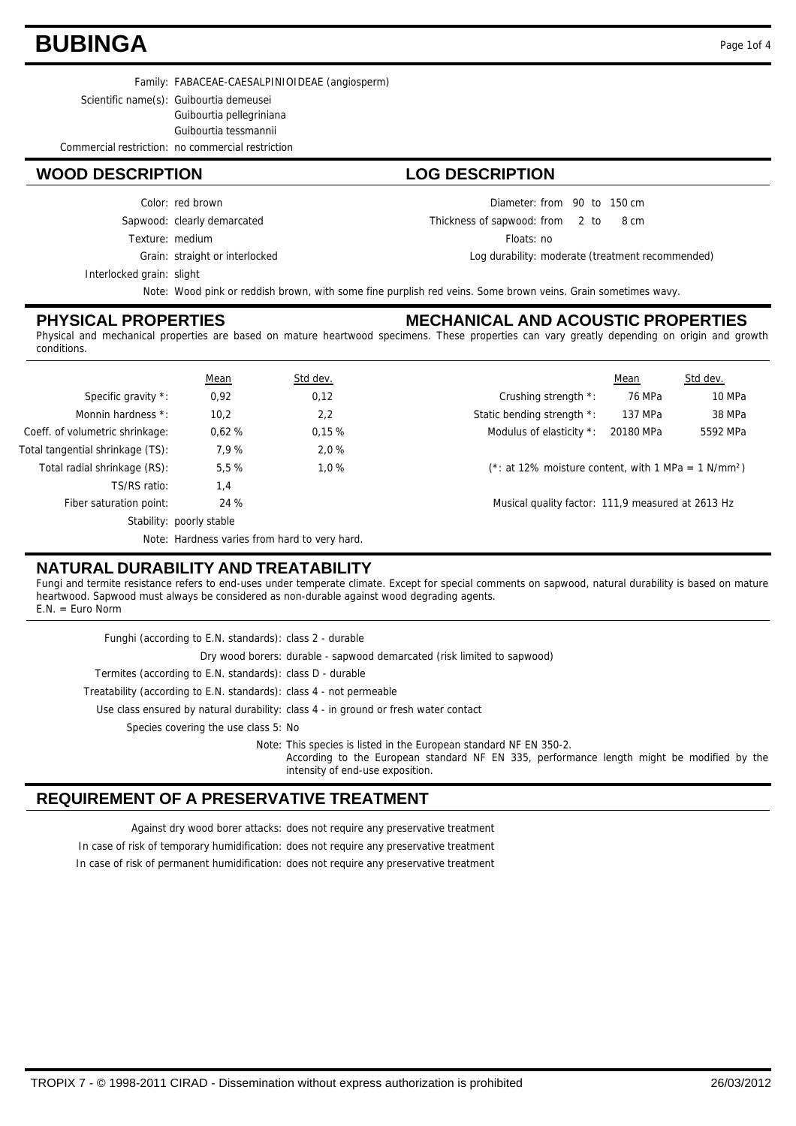### **BUBINGA** Page 1of 4

Family: FABACEAE-CAESALPINIOIDEAE (angiosperm)

Scientific name(s): Guibourtia demeusei Guibourtia pellegriniana Guibourtia tessmannii

Commercial restriction: no commercial restriction

#### **WOOD DESCRIPTION LOG DESCRIPTION**

Texture: medium Sapwood: clearly demarcated Color: red brown

Grain: straight or interlocked

Interlocked grain: slight

Diameter: from 90 to 150 cm

 $from 2 to 8 cm$ Thickness of sapwood:

Floats: no

Log durability: moderate (treatment recommended)

Note: Wood pink or reddish brown, with some fine purplish red veins. Some brown veins. Grain sometimes wavy.

#### **PHYSICAL PROPERTIES**

#### **MECHANICAL AND ACOUSTIC PROPERTIES**

Physical and mechanical properties are based on mature heartwood specimens. These properties can vary greatly depending on origin and growth conditions.

|                                  | <b>Mean</b>                                   | Std dev. |                                                   | Mean                                                               | Std dev. |  |
|----------------------------------|-----------------------------------------------|----------|---------------------------------------------------|--------------------------------------------------------------------|----------|--|
| Specific gravity *:              | 0,92                                          | 0,12     | Crushing strength *:                              | 76 MPa                                                             | 10 MPa   |  |
| Monnin hardness *:               | 10,2                                          | 2,2      | Static bending strength *:                        | 137 MPa                                                            | 38 MPa   |  |
| Coeff. of volumetric shrinkage:  | 0.62%                                         | 0,15%    | Modulus of elasticity *:                          | 20180 MPa                                                          | 5592 MPa |  |
| Total tangential shrinkage (TS): | 7,9%                                          | 2,0%     |                                                   |                                                                    |          |  |
| Total radial shrinkage (RS):     | 5,5 %                                         | 1.0%     |                                                   | $(*: at 12\%$ moisture content, with 1 MPa = 1 N/mm <sup>2</sup> ) |          |  |
| TS/RS ratio:                     | 1,4                                           |          |                                                   |                                                                    |          |  |
| Fiber saturation point:          | 24%                                           |          | Musical quality factor: 111,9 measured at 2613 Hz |                                                                    |          |  |
|                                  | Stability: poorly stable                      |          |                                                   |                                                                    |          |  |
|                                  | Note: Hardness varies from hard to very hard. |          |                                                   |                                                                    |          |  |

### **NATURAL DURABILITY AND TREATABILITY**

Fungi and termite resistance refers to end-uses under temperate climate. Except for special comments on sapwood, natural durability is based on mature heartwood. Sapwood must always be considered as non-durable against wood degrading agents.  $E.N. = Euro Norm$ 

| Funghi (according to E.N. standards): class 2 - durable                                                                                                                                             |
|-----------------------------------------------------------------------------------------------------------------------------------------------------------------------------------------------------|
| Dry wood borers: durable - sapwood demarcated (risk limited to sapwood)                                                                                                                             |
| Termites (according to E.N. standards): class D - durable                                                                                                                                           |
| Treatability (according to E.N. standards): class 4 - not permeable                                                                                                                                 |
| Use class ensured by natural durability: class 4 - in ground or fresh water contact                                                                                                                 |
| Species covering the use class 5: No                                                                                                                                                                |
| Note: This species is listed in the European standard NF EN 350-2.<br>According to the European standard NF EN 335, performance length might be modified by the<br>intensity of end-use exposition. |

### **REQUIREMENT OF A PRESERVATIVE TREATMENT**

Against dry wood borer attacks: does not require any preservative treatment

In case of risk of temporary humidification: does not require any preservative treatment In case of risk of permanent humidification: does not require any preservative treatment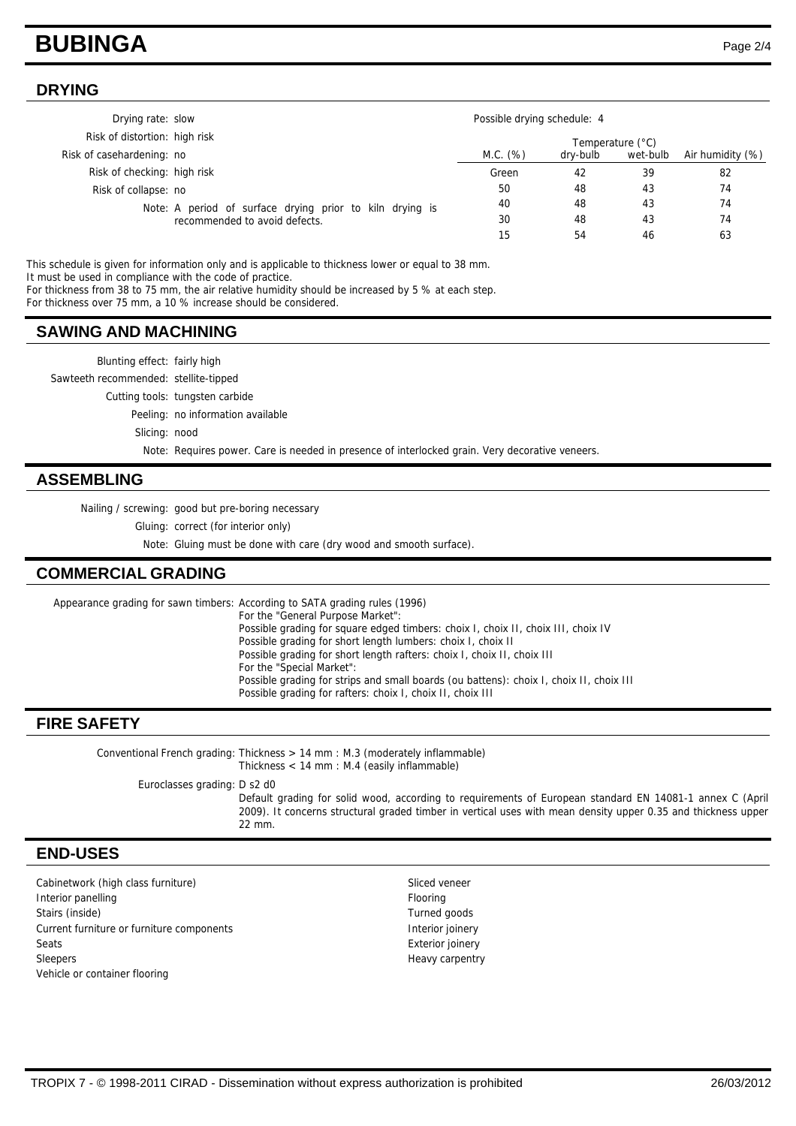### **BUBINGA** Page 2/4

#### **DRYING**

| Drying rate: slow             |                                                                                           | Possible drying schedule: 4<br>Temperature (°C) |          |          |                  |
|-------------------------------|-------------------------------------------------------------------------------------------|-------------------------------------------------|----------|----------|------------------|
| Risk of distortion: high risk |                                                                                           |                                                 |          |          |                  |
| Risk of casehardening: no     |                                                                                           | M.C. (%)                                        | dry-bulb | wet-bulb | Air humidity (%) |
| Risk of checking: high risk   |                                                                                           | Green                                           | 42       | 39       | 82               |
| Risk of collapse: no          |                                                                                           | 50                                              | 48       | 43       | 74               |
|                               | Note: A period of surface drying prior to kiln drying is<br>recommended to avoid defects. | 40                                              | 48       | 43       | 74               |
|                               |                                                                                           | 30                                              | 48       | 43       | 74               |
|                               |                                                                                           | lЬ                                              | 54       | 46       | 63               |

This schedule is given for information only and is applicable to thickness lower or equal to 38 mm. It must be used in compliance with the code of practice. For thickness from 38 to 75 mm, the air relative humidity should be increased by 5 % at each step.

For thickness over 75 mm, a 10 % increase should be considered.

#### **SAWING AND MACHINING**

Blunting effect: fairly high Sawteeth recommended: stellite-tipped Cutting tools: tungsten carbide Peeling: no information available Slicing: nood Note: Requires power. Care is needed in presence of interlocked grain. Very decorative veneers.

#### **ASSEMBLING**

Nailing / screwing: good but pre-boring necessary

Gluing: correct (for interior only)

Note: Gluing must be done with care (dry wood and smooth surface).

#### **COMMERCIAL GRADING**

Appearance grading for sawn timbers: According to SATA grading rules (1996) For the "General Purpose Market": Possible grading for square edged timbers: choix I, choix II, choix III, choix IV Possible grading for short length lumbers: choix I, choix II Possible grading for short length rafters: choix I, choix II, choix III For the "Special Market": Possible grading for strips and small boards (ou battens): choix I, choix II, choix III Possible grading for rafters: choix I, choix II, choix III

#### **FIRE SAFETY**

Conventional French grading: Thickness > 14 mm : M.3 (moderately inflammable) Thickness < 14 mm : M.4 (easily inflammable)

Euroclasses grading: D s2 d0

Default grading for solid wood, according to requirements of European standard EN 14081-1 annex C (April 2009). It concerns structural graded timber in vertical uses with mean density upper 0.35 and thickness upper 22 mm.

#### **END-USES**

Cabinetwork (high class furniture) Sliced veneer Interior panelling **Flooring** Flooring Stairs (inside) Turned goods Current furniture or furniture components **Interior interior interior joinery** Seats **Exterior joinery** Sleepers Heavy carpentry Vehicle or container flooring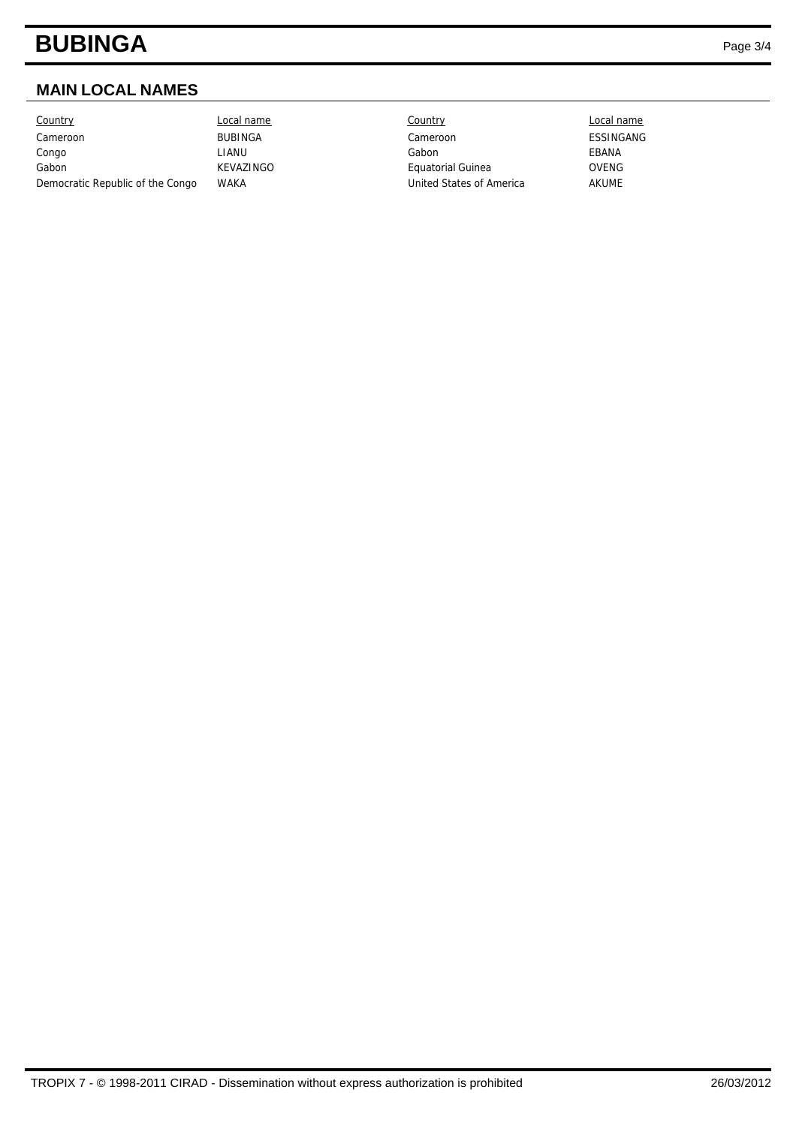# **BUBINGA** Page 3/4

### **MAIN LOCAL NAMES**

Country Local name Country Local name Cameroon BUBINGA Cameroon ESSINGANG Congo LIANU Gabon EBANA Gabon **KEVAZINGO Equatorial Guinea** OVENG Democratic Republic of the Congo WAKA Variation of the Congo WAKA United States of America AKUME